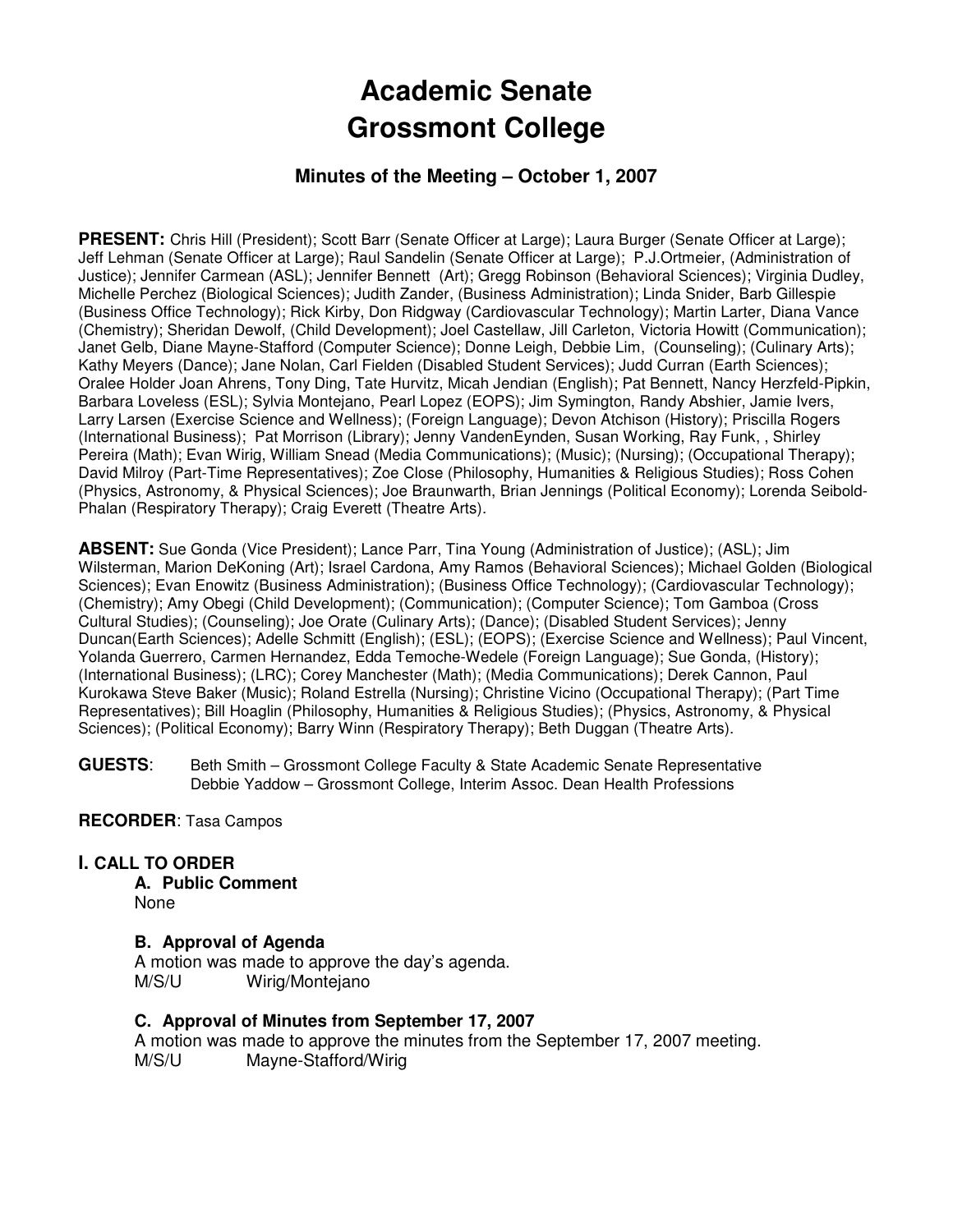# **Academic Senate Grossmont College**

## **Minutes of the Meeting – October 1, 2007**

PRESENT: Chris Hill (President); Scott Barr (Senate Officer at Large); Laura Burger (Senate Officer at Large); Jeff Lehman (Senate Officer at Large); Raul Sandelin (Senate Officer at Large); P.J.Ortmeier, (Administration of Justice); Jennifer Carmean (ASL); Jennifer Bennett (Art); Gregg Robinson (Behavioral Sciences); Virginia Dudley, Michelle Perchez (Biological Sciences); Judith Zander, (Business Administration); Linda Snider, Barb Gillespie (Business Office Technology); Rick Kirby, Don Ridgway (Cardiovascular Technology); Martin Larter, Diana Vance (Chemistry); Sheridan Dewolf, (Child Development); Joel Castellaw, Jill Carleton, Victoria Howitt (Communication); Janet Gelb, Diane Mayne-Stafford (Computer Science); Donne Leigh, Debbie Lim, (Counseling); (Culinary Arts); Kathy Meyers (Dance); Jane Nolan, Carl Fielden (Disabled Student Services); Judd Curran (Earth Sciences); Oralee Holder Joan Ahrens, Tony Ding, Tate Hurvitz, Micah Jendian (English); Pat Bennett, Nancy Herzfeld-Pipkin, Barbara Loveless (ESL); Sylvia Montejano, Pearl Lopez (EOPS); Jim Symington, Randy Abshier, Jamie Ivers, Larry Larsen (Exercise Science and Wellness); (Foreign Language); Devon Atchison (History); Priscilla Rogers (International Business); Pat Morrison (Library); Jenny VandenEynden, Susan Working, Ray Funk, , Shirley Pereira (Math); Evan Wirig, William Snead (Media Communications); (Music); (Nursing); (Occupational Therapy); David Milroy (Part-Time Representatives); Zoe Close (Philosophy, Humanities & Religious Studies); Ross Cohen (Physics, Astronomy, & Physical Sciences); Joe Braunwarth, Brian Jennings (Political Economy); Lorenda Seibold-Phalan (Respiratory Therapy); Craig Everett (Theatre Arts).

**ABSENT:** Sue Gonda (Vice President); Lance Parr, Tina Young (Administration of Justice); (ASL); Jim Wilsterman, Marion DeKoning (Art); Israel Cardona, Amy Ramos (Behavioral Sciences); Michael Golden (Biological Sciences); Evan Enowitz (Business Administration); (Business Office Technology); (Cardiovascular Technology); (Chemistry); Amy Obegi (Child Development); (Communication); (Computer Science); Tom Gamboa (Cross Cultural Studies); (Counseling); Joe Orate (Culinary Arts); (Dance); (Disabled Student Services); Jenny Duncan(Earth Sciences); Adelle Schmitt (English); (ESL); (EOPS); (Exercise Science and Wellness); Paul Vincent, Yolanda Guerrero, Carmen Hernandez, Edda Temoche-Wedele (Foreign Language); Sue Gonda, (History); (International Business); (LRC); Corey Manchester (Math); (Media Communications); Derek Cannon, Paul Kurokawa Steve Baker (Music); Roland Estrella (Nursing); Christine Vicino (Occupational Therapy); (Part Time Representatives); Bill Hoaglin (Philosophy, Humanities & Religious Studies); (Physics, Astronomy, & Physical Sciences); (Political Economy); Barry Winn (Respiratory Therapy); Beth Duggan (Theatre Arts).

**GUESTS**: Beth Smith – Grossmont College Faculty & State Academic Senate Representative Debbie Yaddow – Grossmont College, Interim Assoc. Dean Health Professions

## **RECORDER**: Tasa Campos

## **I. CALL TO ORDER**

**A. Public Comment**  None

## **B. Approval of Agenda**

A motion was made to approve the day's agenda. M/S/U Wirig/Montejano

#### **C. Approval of Minutes from September 17, 2007**

A motion was made to approve the minutes from the September 17, 2007 meeting. M/S/U Mayne-Stafford/Wirig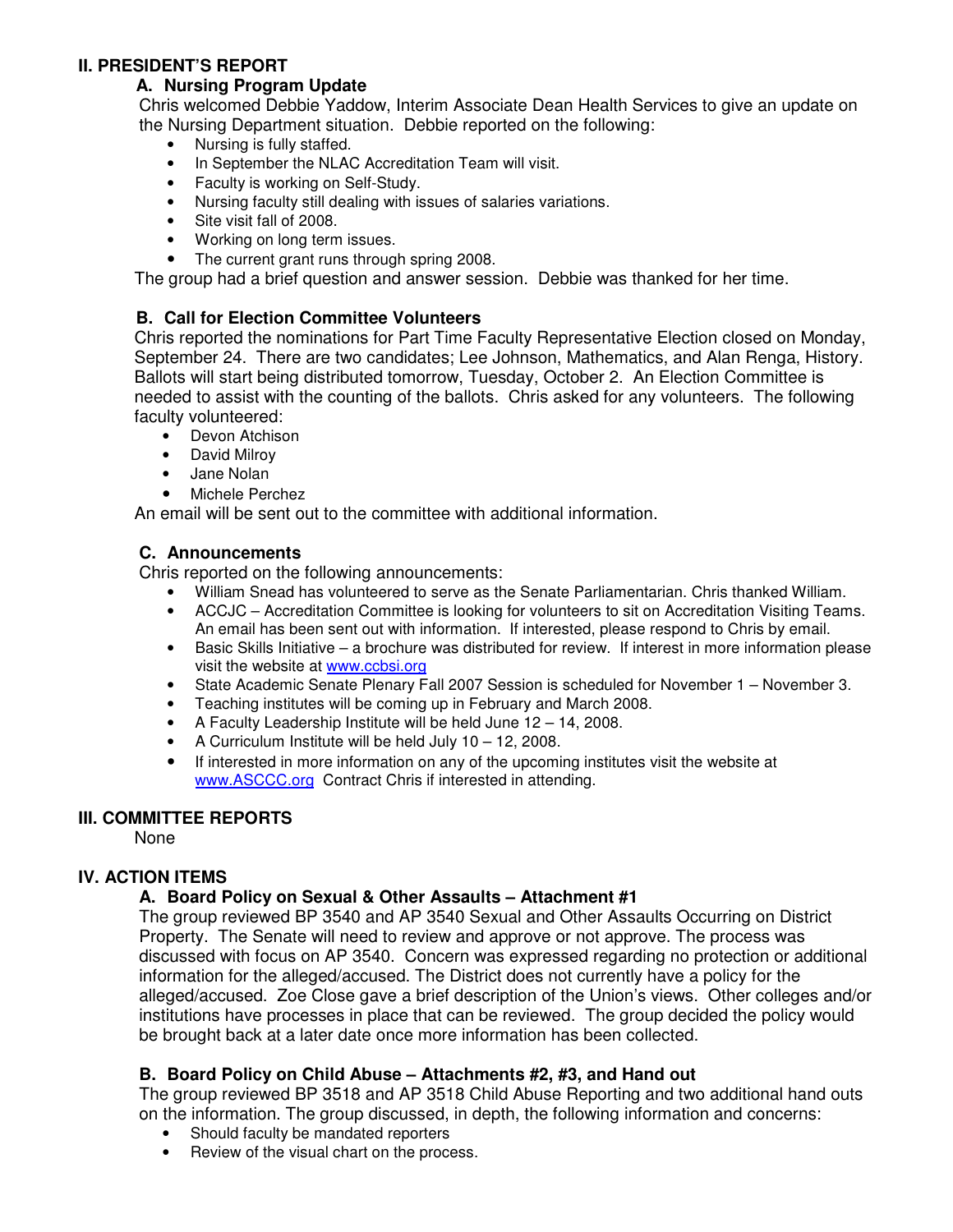### **II. PRESIDENT'S REPORT**

## **A. Nursing Program Update**

Chris welcomed Debbie Yaddow, Interim Associate Dean Health Services to give an update on the Nursing Department situation. Debbie reported on the following:

- Nursing is fully staffed.
- In September the NLAC Accreditation Team will visit.
- Faculty is working on Self-Study.
- Nursing faculty still dealing with issues of salaries variations.
- Site visit fall of 2008.
- Working on long term issues.
- The current grant runs through spring 2008.

The group had a brief question and answer session. Debbie was thanked for her time.

## **B. Call for Election Committee Volunteers**

Chris reported the nominations for Part Time Faculty Representative Election closed on Monday, September 24. There are two candidates; Lee Johnson, Mathematics, and Alan Renga, History. Ballots will start being distributed tomorrow, Tuesday, October 2. An Election Committee is needed to assist with the counting of the ballots. Chris asked for any volunteers. The following faculty volunteered:

- Devon Atchison
- David Milroy
- Jane Nolan
- Michele Perchez

An email will be sent out to the committee with additional information.

## **C. Announcements**

Chris reported on the following announcements:

- William Snead has volunteered to serve as the Senate Parliamentarian. Chris thanked William.
- ACCJC Accreditation Committee is looking for volunteers to sit on Accreditation Visiting Teams. An email has been sent out with information. If interested, please respond to Chris by email.
- Basic Skills Initiative a brochure was distributed for review. If interest in more information please visit the website at www.ccbsi.org
- State Academic Senate Plenary Fall 2007 Session is scheduled for November 1 November 3.
- Teaching institutes will be coming up in February and March 2008.
- A Faculty Leadership Institute will be held June 12 14, 2008.
- A Curriculum Institute will be held July 10 12, 2008.
- If interested in more information on any of the upcoming institutes visit the website at www.ASCCC.org Contract Chris if interested in attending.

#### **III. COMMITTEE REPORTS**

None

## **IV. ACTION ITEMS**

## **A. Board Policy on Sexual & Other Assaults – Attachment #1**

The group reviewed BP 3540 and AP 3540 Sexual and Other Assaults Occurring on District Property. The Senate will need to review and approve or not approve. The process was discussed with focus on AP 3540. Concern was expressed regarding no protection or additional information for the alleged/accused. The District does not currently have a policy for the alleged/accused. Zoe Close gave a brief description of the Union's views. Other colleges and/or institutions have processes in place that can be reviewed. The group decided the policy would be brought back at a later date once more information has been collected.

## **B. Board Policy on Child Abuse – Attachments #2, #3, and Hand out**

The group reviewed BP 3518 and AP 3518 Child Abuse Reporting and two additional hand outs on the information. The group discussed, in depth, the following information and concerns:

- Should faculty be mandated reporters
- Review of the visual chart on the process.